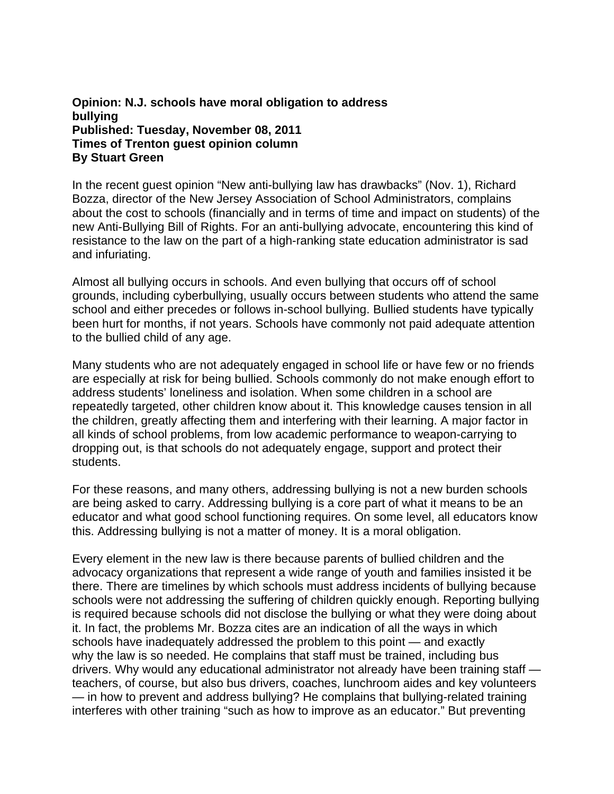## **Opinion: N.J. schools have moral obligation to address bullying Published: Tuesday, November 08, 2011 Times of Trenton guest opinion column By Stuart Green**

In the recent guest opinion "New anti-bullying law has drawbacks" (Nov. 1), Richard Bozza, director of the New Jersey Association of School Administrators, complains about the cost to schools (financially and in terms of time and impact on students) of the new Anti-Bullying Bill of Rights. For an anti-bullying advocate, encountering this kind of resistance to the law on the part of a high-ranking state education administrator is sad and infuriating.

Almost all bullying occurs in schools. And even bullying that occurs off of school grounds, including cyberbullying, usually occurs between students who attend the same school and either precedes or follows in-school bullying. Bullied students have typically been hurt for months, if not years. Schools have commonly not paid adequate attention to the bullied child of any age.

Many students who are not adequately engaged in school life or have few or no friends are especially at risk for being bullied. Schools commonly do not make enough effort to address students' loneliness and isolation. When some children in a school are repeatedly targeted, other children know about it. This knowledge causes tension in all the children, greatly affecting them and interfering with their learning. A major factor in all kinds of school problems, from low academic performance to weapon-carrying to dropping out, is that schools do not adequately engage, support and protect their students.

For these reasons, and many others, addressing bullying is not a new burden schools are being asked to carry. Addressing bullying is a core part of what it means to be an educator and what good school functioning requires. On some level, all educators know this. Addressing bullying is not a matter of money. It is a moral obligation.

Every element in the new law is there because parents of bullied children and the advocacy organizations that represent a wide range of youth and families insisted it be there. There are timelines by which schools must address incidents of bullying because schools were not addressing the suffering of children quickly enough. Reporting bullying is required because schools did not disclose the bullying or what they were doing about it. In fact, the problems Mr. Bozza cites are an indication of all the ways in which schools have inadequately addressed the problem to this point — and exactly why the law is so needed. He complains that staff must be trained, including bus drivers. Why would any educational administrator not already have been training staff teachers, of course, but also bus drivers, coaches, lunchroom aides and key volunteers — in how to prevent and address bullying? He complains that bullying-related training interferes with other training "such as how to improve as an educator." But preventing